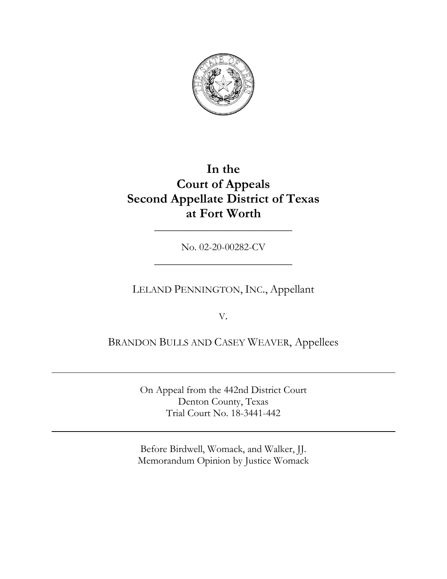

# **In the Court of Appeals Second Appellate District of Texas at Fort Worth**

No. 02-20-00282-CV \_\_\_\_\_\_\_\_\_\_\_\_\_\_\_\_\_\_\_\_\_\_\_\_\_\_\_

\_\_\_\_\_\_\_\_\_\_\_\_\_\_\_\_\_\_\_\_\_\_\_\_\_\_\_

## LELAND PENNINGTON, INC., Appellant

V.

BRANDON BULLS AND CASEY WEAVER, Appellees

On Appeal from the 442nd District Court Denton County, Texas Trial Court No. 18-3441-442

Before Birdwell, Womack, and Walker, JJ. Memorandum Opinion by Justice Womack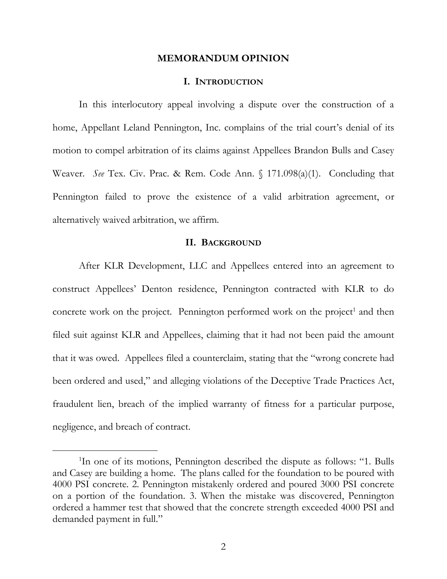#### **MEMORANDUM OPINION**

#### **I. INTRODUCTION**

In this interlocutory appeal involving a dispute over the construction of a home, Appellant Leland Pennington, Inc. complains of the trial court's denial of its motion to compel arbitration of its claims against Appellees Brandon Bulls and Casey Weaver. *See* Tex. Civ. Prac. & Rem. Code Ann. § 171.098(a)(1). Concluding that Pennington failed to prove the existence of a valid arbitration agreement, or alternatively waived arbitration, we affirm.

## **II. BACKGROUND**

After KLR Development, LLC and Appellees entered into an agreement to construct Appellees' Denton residence, Pennington contracted with KLR to do concrete work on the project. Pennington performed work on the project<sup>1</sup> and then filed suit against KLR and Appellees, claiming that it had not been paid the amount that it was owed. Appellees filed a counterclaim, stating that the "wrong concrete had been ordered and used," and alleging violations of the Deceptive Trade Practices Act, fraudulent lien, breach of the implied warranty of fitness for a particular purpose, negligence, and breach of contract.

<sup>&</sup>lt;sup>1</sup>In one of its motions, Pennington described the dispute as follows: "1. Bulls and Casey are building a home. The plans called for the foundation to be poured with 4000 PSI concrete. 2. Pennington mistakenly ordered and poured 3000 PSI concrete on a portion of the foundation. 3. When the mistake was discovered, Pennington ordered a hammer test that showed that the concrete strength exceeded 4000 PSI and demanded payment in full."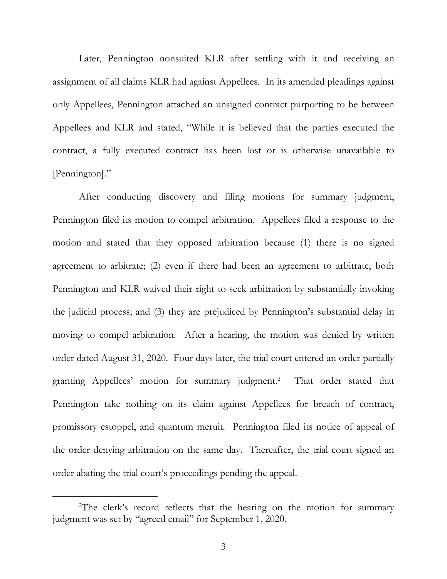Later, Pennington nonsuited KLR after settling with it and receiving an assignment of all claims KLR had against Appellees. In its amended pleadings against only Appellees, Pennington attached an unsigned contract purporting to be between Appellees and KLR and stated, "While it is believed that the parties executed the contract, a fully executed contract has been lost or is otherwise unavailable to [Pennington]."

After conducting discovery and filing motions for summary judgment, Pennington filed its motion to compel arbitration. Appellees filed a response to the motion and stated that they opposed arbitration because (1) there is no signed agreement to arbitrate; (2) even if there had been an agreement to arbitrate, both Pennington and KLR waived their right to seek arbitration by substantially invoking the judicial process; and (3) they are prejudiced by Pennington's substantial delay in moving to compel arbitration. After a hearing, the motion was denied by written order dated August 31, 2020. Four days later, the trial court entered an order partially granting Appellees' motion for summary judgment. 2 That order stated that Pennington take nothing on its claim against Appellees for breach of contract, promissory estoppel, and quantum meruit. Pennington filed its notice of appeal of the order denying arbitration on the same day. Thereafter, the trial court signed an order abating the trial court's proceedings pending the appeal.

<sup>&</sup>lt;sup>2</sup>The clerk's record reflects that the hearing on the motion for summary judgment was set by "agreed email" for September 1, 2020.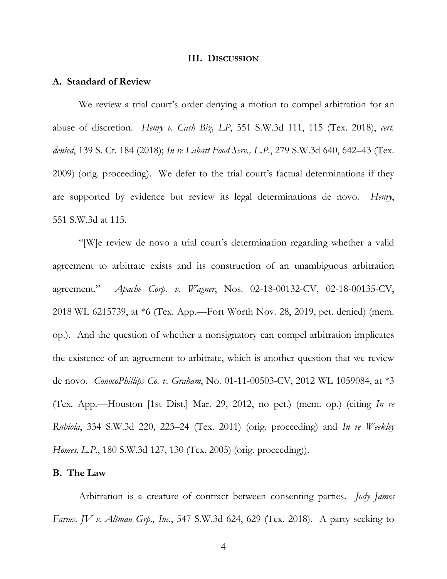#### **III. DISCUSSION**

#### **A. Standard of Review**

We review a trial court's order denying a motion to compel arbitration for an abuse of discretion. *Henry v. Cash Biz, LP*, 551 S.W.3d 111, 115 (Tex. 2018), *cert. denied*, 139 S. Ct. 184 (2018); *In re Labatt Food Serv., L.P.*, 279 S.W.3d 640, 642–43 (Tex. 2009) (orig. proceeding). We defer to the trial court's factual determinations if they are supported by evidence but review its legal determinations de novo. *Henry*, 551 S.W.3d at 115.

"[W]e review de novo a trial court's determination regarding whether a valid agreement to arbitrate exists and its construction of an unambiguous arbitration agreement." *Apache Corp. v. Wagner*, Nos. 02-18-00132-CV, 02-18-00135-CV, 2018 WL 6215739, at \*6 (Tex. App.—Fort Worth Nov. 28, 2019, pet. denied) (mem. op.). And the question of whether a nonsignatory can compel arbitration implicates the existence of an agreement to arbitrate, which is another question that we review de novo. *ConocoPhillips Co. v. Graham*, No. 01-11-00503-CV, 2012 WL 1059084, at \*3 (Tex. App.—Houston [1st Dist.] Mar. 29, 2012, no pet.) (mem. op.) (citing *In re Rubiola*, 334 S.W.3d 220, 223–24 (Tex. 2011) (orig. proceeding) and *In re Weekley Homes, L.P.*, 180 S.W.3d 127, 130 (Tex. 2005) (orig. proceeding)).

#### **B. The Law**

Arbitration is a creature of contract between consenting parties. *Jody James Farms, JV v. Altman Grp., Inc.*, 547 S.W.3d 624, 629 (Tex. 2018). A party seeking to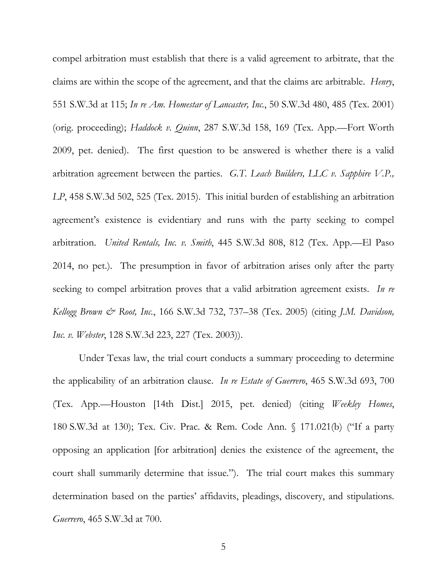compel arbitration must establish that there is a valid agreement to arbitrate, that the claims are within the scope of the agreement, and that the claims are arbitrable. *Henry*, 551 S.W.3d at 115; *In re Am. Homestar of Lancaster, Inc.*, 50 S.W.3d 480, 485 (Tex. 2001) (orig. proceeding); *Haddock v. Quinn*, 287 S.W.3d 158, 169 (Tex. App.—Fort Worth 2009, pet. denied). The first question to be answered is whether there is a valid arbitration agreement between the parties. *G.T. Leach Builders, LLC v. Sapphire V.P., LP*, 458 S.W.3d 502, 525 (Tex. 2015). This initial burden of establishing an arbitration agreement's existence is evidentiary and runs with the party seeking to compel arbitration. *United Rentals, Inc. v. Smith*, 445 S.W.3d 808, 812 (Tex. App.—El Paso 2014, no pet.). The presumption in favor of arbitration arises only after the party seeking to compel arbitration proves that a valid arbitration agreement exists. *In re Kellogg Brown & Root, Inc.*, 166 S.W.3d 732, 737–38 (Tex. 2005) (citing *J.M. Davidson, Inc. v. Webster*, 128 S.W.3d 223, 227 (Tex. 2003)).

Under Texas law, the trial court conducts a summary proceeding to determine the applicability of an arbitration clause. *In re Estate of Guerrero*, 465 S.W.3d 693, 700 (Tex. App.—Houston [14th Dist.] 2015, pet. denied) (citing *Weekley Homes*, 180 S.W.3d at 130); Tex. Civ. Prac. & Rem. Code Ann. § 171.021(b) ("If a party opposing an application [for arbitration] denies the existence of the agreement, the court shall summarily determine that issue."). The trial court makes this summary determination based on the parties' affidavits, pleadings, discovery, and stipulations. *Guerrero*, 465 S.W.3d at 700.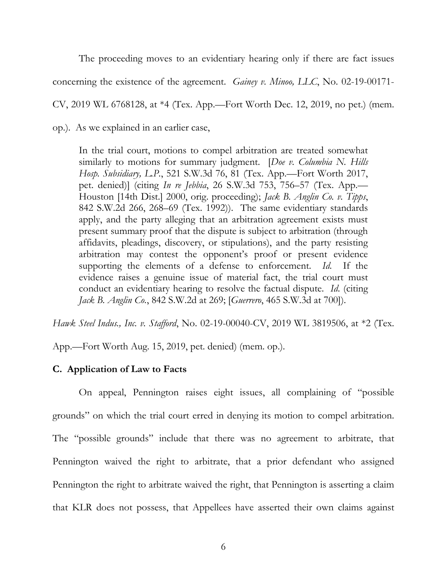The proceeding moves to an evidentiary hearing only if there are fact issues concerning the existence of the agreement. *Gainey v. Minoo, LLC*, No. 02-19-00171- CV, 2019 WL 6768128, at \*4 (Tex. App.—Fort Worth Dec. 12, 2019, no pet.) (mem. op.). As we explained in an earlier case,

In the trial court, motions to compel arbitration are treated somewhat similarly to motions for summary judgment. [*Doe v. Columbia N. Hills Hosp. Subsidiary, L.P.*, 521 S.W.3d 76, 81 (Tex. App.—Fort Worth 2017, pet. denied)] (citing *In re Jebbia*, 26 S.W.3d 753, 756–57 (Tex. App.— Houston [14th Dist.] 2000, orig. proceeding); *Jack B. Anglin Co. v. Tipps*, 842 S.W.2d 266, 268–69 (Tex. 1992)). The same evidentiary standards apply, and the party alleging that an arbitration agreement exists must present summary proof that the dispute is subject to arbitration (through affidavits, pleadings, discovery, or stipulations), and the party resisting arbitration may contest the opponent's proof or present evidence supporting the elements of a defense to enforcement. *Id.* If the evidence raises a genuine issue of material fact, the trial court must conduct an evidentiary hearing to resolve the factual dispute. *Id*. (citing *Jack B. Anglin Co.*, 842 S.W.2d at 269; [*Guerrero*, 465 S.W.3d at 700]).

*Hawk Steel Indus., Inc. v. Stafford*, No. 02-19-00040-CV, 2019 WL 3819506, at \*2 (Tex.

App.—Fort Worth Aug. 15, 2019, pet. denied) (mem. op.).

## **C. Application of Law to Facts**

On appeal, Pennington raises eight issues, all complaining of "possible grounds" on which the trial court erred in denying its motion to compel arbitration. The "possible grounds" include that there was no agreement to arbitrate, that Pennington waived the right to arbitrate, that a prior defendant who assigned Pennington the right to arbitrate waived the right, that Pennington is asserting a claim that KLR does not possess, that Appellees have asserted their own claims against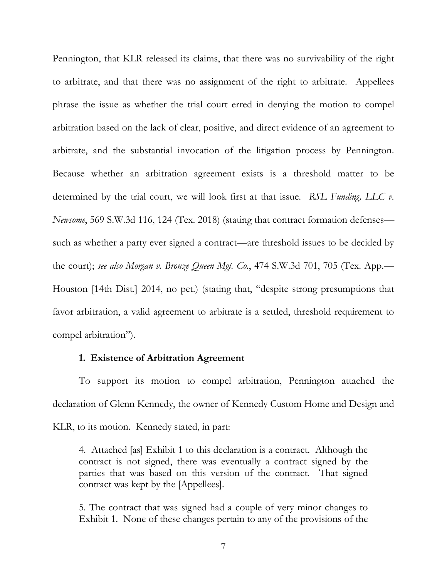Pennington, that KLR released its claims, that there was no survivability of the right to arbitrate, and that there was no assignment of the right to arbitrate. Appellees phrase the issue as whether the trial court erred in denying the motion to compel arbitration based on the lack of clear, positive, and direct evidence of an agreement to arbitrate, and the substantial invocation of the litigation process by Pennington. Because whether an arbitration agreement exists is a threshold matter to be determined by the trial court, we will look first at that issue. *RSL Funding, LLC v. Newsome*, 569 S.W.3d 116, 124 (Tex. 2018) (stating that contract formation defenses such as whether a party ever signed a contract—are threshold issues to be decided by the court); *see also Morgan v. Bronze Queen Mgt. Co.*, 474 S.W.3d 701, 705 (Tex. App.— Houston [14th Dist.] 2014, no pet.) (stating that, "despite strong presumptions that favor arbitration, a valid agreement to arbitrate is a settled, threshold requirement to compel arbitration").

## **1. Existence of Arbitration Agreement**

To support its motion to compel arbitration, Pennington attached the declaration of Glenn Kennedy, the owner of Kennedy Custom Home and Design and KLR, to its motion. Kennedy stated, in part:

4. Attached [as] Exhibit 1 to this declaration is a contract. Although the contract is not signed, there was eventually a contract signed by the parties that was based on this version of the contract. That signed contract was kept by the [Appellees].

5. The contract that was signed had a couple of very minor changes to Exhibit 1. None of these changes pertain to any of the provisions of the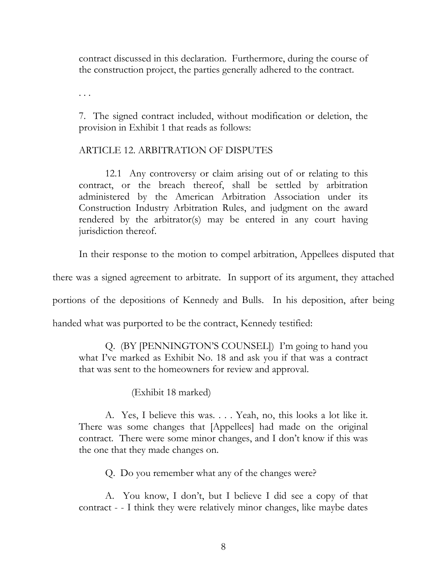contract discussed in this declaration. Furthermore, during the course of the construction project, the parties generally adhered to the contract.

. . .

7. The signed contract included, without modification or deletion, the provision in Exhibit 1 that reads as follows:

## ARTICLE 12. ARBITRATION OF DISPUTES

12.1 Any controversy or claim arising out of or relating to this contract, or the breach thereof, shall be settled by arbitration administered by the American Arbitration Association under its Construction Industry Arbitration Rules, and judgment on the award rendered by the arbitrator(s) may be entered in any court having jurisdiction thereof.

In their response to the motion to compel arbitration, Appellees disputed that

there was a signed agreement to arbitrate. In support of its argument, they attached

portions of the depositions of Kennedy and Bulls. In his deposition, after being

handed what was purported to be the contract, Kennedy testified:

Q. (BY [PENNINGTON'S COUNSEL]) I'm going to hand you what I've marked as Exhibit No. 18 and ask you if that was a contract that was sent to the homeowners for review and approval.

(Exhibit 18 marked)

A. Yes, I believe this was. . . . Yeah, no, this looks a lot like it. There was some changes that [Appellees] had made on the original contract. There were some minor changes, and I don't know if this was the one that they made changes on.

Q. Do you remember what any of the changes were?

A. You know, I don't, but I believe I did see a copy of that contract - - I think they were relatively minor changes, like maybe dates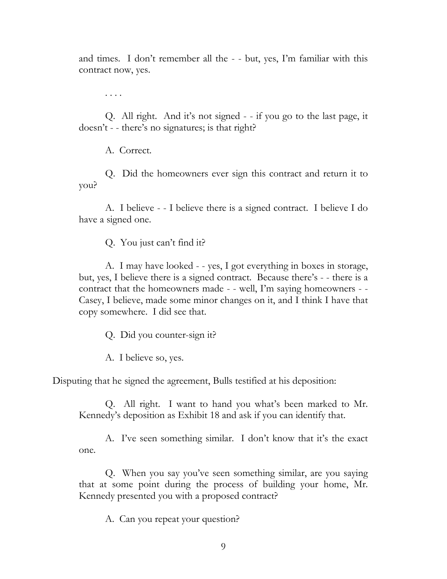and times. I don't remember all the - - but, yes, I'm familiar with this contract now, yes.

. . . .

Q. All right. And it's not signed - - if you go to the last page, it doesn't - - there's no signatures; is that right?

A. Correct.

Q. Did the homeowners ever sign this contract and return it to you?

A. I believe - - I believe there is a signed contract. I believe I do have a signed one.

Q. You just can't find it?

A. I may have looked - - yes, I got everything in boxes in storage, but, yes, I believe there is a signed contract. Because there's - - there is a contract that the homeowners made - - well, I'm saying homeowners - - Casey, I believe, made some minor changes on it, and I think I have that copy somewhere. I did see that.

Q. Did you counter-sign it?

A. I believe so, yes.

Disputing that he signed the agreement, Bulls testified at his deposition:

Q. All right. I want to hand you what's been marked to Mr. Kennedy's deposition as Exhibit 18 and ask if you can identify that.

A. I've seen something similar. I don't know that it's the exact one.

Q. When you say you've seen something similar, are you saying that at some point during the process of building your home, Mr. Kennedy presented you with a proposed contract?

A. Can you repeat your question?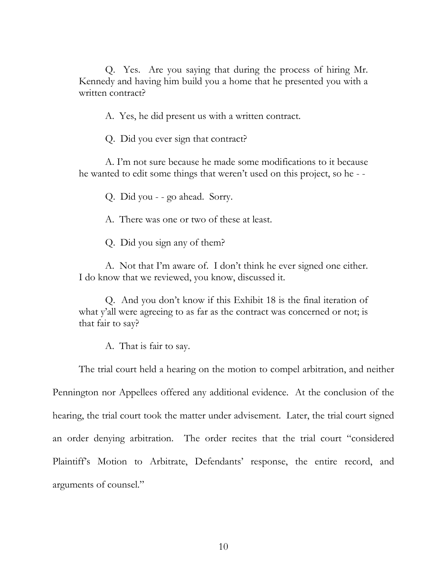Q. Yes. Are you saying that during the process of hiring Mr. Kennedy and having him build you a home that he presented you with a written contract?

A. Yes, he did present us with a written contract.

Q. Did you ever sign that contract?

A. I'm not sure because he made some modifications to it because he wanted to edit some things that weren't used on this project, so he - -

Q. Did you - - go ahead. Sorry.

A. There was one or two of these at least.

Q. Did you sign any of them?

A. Not that I'm aware of. I don't think he ever signed one either. I do know that we reviewed, you know, discussed it.

Q. And you don't know if this Exhibit 18 is the final iteration of what y'all were agreeing to as far as the contract was concerned or not; is that fair to say?

A. That is fair to say.

The trial court held a hearing on the motion to compel arbitration, and neither Pennington nor Appellees offered any additional evidence. At the conclusion of the hearing, the trial court took the matter under advisement. Later, the trial court signed an order denying arbitration. The order recites that the trial court "considered Plaintiff's Motion to Arbitrate, Defendants' response, the entire record, and arguments of counsel."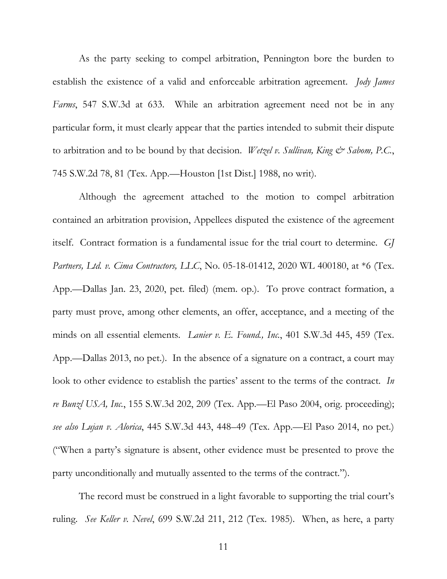As the party seeking to compel arbitration, Pennington bore the burden to establish the existence of a valid and enforceable arbitration agreement. *Jody James Farms*, 547 S.W.3d at 633. While an arbitration agreement need not be in any particular form, it must clearly appear that the parties intended to submit their dispute to arbitration and to be bound by that decision. *Wetzel v. Sullivan, King & Sabom, P.C.*, 745 S.W.2d 78, 81 (Tex. App.—Houston [1st Dist.] 1988, no writ).

Although the agreement attached to the motion to compel arbitration contained an arbitration provision, Appellees disputed the existence of the agreement itself. Contract formation is a fundamental issue for the trial court to determine. *GJ Partners, Ltd. v. Cima Contractors, LLC*, No. 05-18-01412, 2020 WL 400180, at \*6 (Tex. App.—Dallas Jan. 23, 2020, pet. filed) (mem. op.). To prove contract formation, a party must prove, among other elements, an offer, acceptance, and a meeting of the minds on all essential elements. *Lanier v. E. Found., Inc.*, 401 S.W.3d 445, 459 (Tex. App.—Dallas 2013, no pet.). In the absence of a signature on a contract, a court may look to other evidence to establish the parties' assent to the terms of the contract. *In re Bunzl USA, Inc.*, 155 S.W.3d 202, 209 (Tex. App.—El Paso 2004, orig. proceeding); *see also Lujan v. Alorica*, 445 S.W.3d 443, 448–49 (Tex. App.—El Paso 2014, no pet.) ("When a party's signature is absent, other evidence must be presented to prove the party unconditionally and mutually assented to the terms of the contract.").

The record must be construed in a light favorable to supporting the trial court's ruling. *See Keller v. Nevel*, 699 S.W.2d 211, 212 (Tex. 1985). When, as here, a party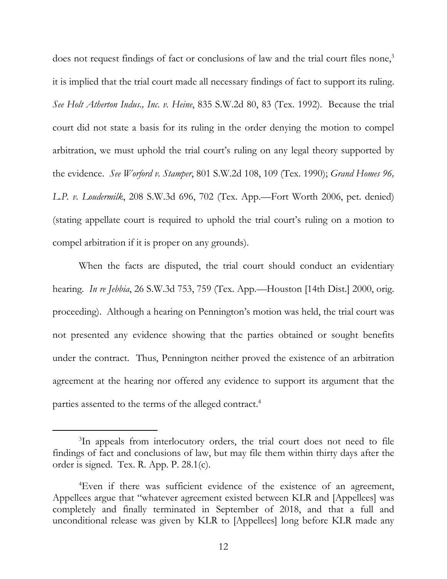does not request findings of fact or conclusions of law and the trial court files none,<sup>3</sup> it is implied that the trial court made all necessary findings of fact to support its ruling. *See Holt Atherton Indus., Inc. v. Heine*, 835 S.W.2d 80, 83 (Tex. 1992). Because the trial court did not state a basis for its ruling in the order denying the motion to compel arbitration, we must uphold the trial court's ruling on any legal theory supported by the evidence. *See Worford v. Stamper*, 801 S.W.2d 108, 109 (Tex. 1990); *Grand Homes 96, L.P. v. Loudermilk*, 208 S.W.3d 696, 702 (Tex. App.—Fort Worth 2006, pet. denied) (stating appellate court is required to uphold the trial court's ruling on a motion to compel arbitration if it is proper on any grounds).

When the facts are disputed, the trial court should conduct an evidentiary hearing. *In re Jebbia*, 26 S.W.3d 753, 759 (Tex. App.—Houston [14th Dist.] 2000, orig. proceeding). Although a hearing on Pennington's motion was held, the trial court was not presented any evidence showing that the parties obtained or sought benefits under the contract. Thus, Pennington neither proved the existence of an arbitration agreement at the hearing nor offered any evidence to support its argument that the parties assented to the terms of the alleged contract.<sup>4</sup>

<sup>&</sup>lt;sup>3</sup>In appeals from interlocutory orders, the trial court does not need to file findings of fact and conclusions of law, but may file them within thirty days after the order is signed. Tex. R. App. P. 28.1(c).

<sup>4</sup>Even if there was sufficient evidence of the existence of an agreement, Appellees argue that "whatever agreement existed between KLR and [Appellees] was completely and finally terminated in September of 2018, and that a full and unconditional release was given by KLR to [Appellees] long before KLR made any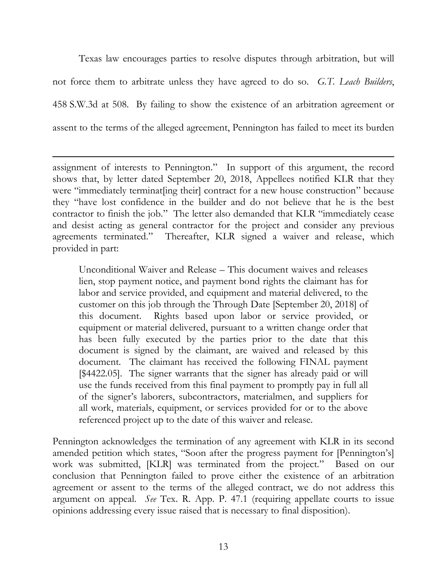Texas law encourages parties to resolve disputes through arbitration, but will not force them to arbitrate unless they have agreed to do so. *G.T. Leach Builders*, 458 S.W.3d at 508. By failing to show the existence of an arbitration agreement or assent to the terms of the alleged agreement, Pennington has failed to meet its burden

assignment of interests to Pennington." In support of this argument, the record shows that, by letter dated September 20, 2018, Appellees notified KLR that they were "immediately terminat [ing their] contract for a new house construction" because they "have lost confidence in the builder and do not believe that he is the best contractor to finish the job." The letter also demanded that KLR "immediately cease and desist acting as general contractor for the project and consider any previous agreements terminated." Thereafter, KLR signed a waiver and release, which provided in part:

Unconditional Waiver and Release – This document waives and releases lien, stop payment notice, and payment bond rights the claimant has for labor and service provided, and equipment and material delivered, to the customer on this job through the Through Date [September 20, 2018] of this document. Rights based upon labor or service provided, or equipment or material delivered, pursuant to a written change order that has been fully executed by the parties prior to the date that this document is signed by the claimant, are waived and released by this document. The claimant has received the following FINAL payment [\$4422.05]. The signer warrants that the signer has already paid or will use the funds received from this final payment to promptly pay in full all of the signer's laborers, subcontractors, materialmen, and suppliers for all work, materials, equipment, or services provided for or to the above referenced project up to the date of this waiver and release.

Pennington acknowledges the termination of any agreement with KLR in its second amended petition which states, "Soon after the progress payment for [Pennington's] work was submitted, [KLR] was terminated from the project." Based on our conclusion that Pennington failed to prove either the existence of an arbitration agreement or assent to the terms of the alleged contract, we do not address this argument on appeal. *See* Tex. R. App. P. 47.1 (requiring appellate courts to issue opinions addressing every issue raised that is necessary to final disposition).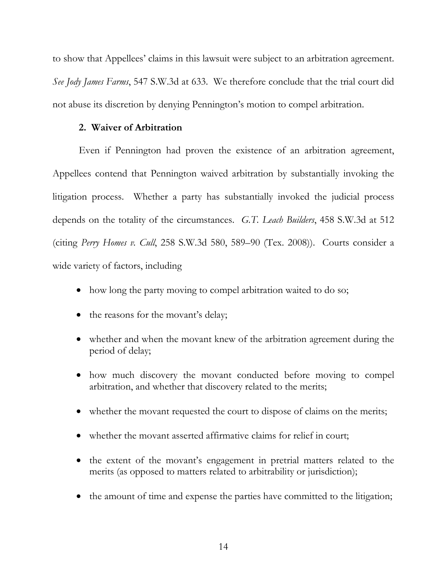to show that Appellees' claims in this lawsuit were subject to an arbitration agreement. *See Jody James Farms*, 547 S.W.3d at 633. We therefore conclude that the trial court did not abuse its discretion by denying Pennington's motion to compel arbitration.

## **2. Waiver of Arbitration**

Even if Pennington had proven the existence of an arbitration agreement, Appellees contend that Pennington waived arbitration by substantially invoking the litigation process. Whether a party has substantially invoked the judicial process depends on the totality of the circumstances. *G.T. Leach Builders*, 458 S.W.3d at 512 (citing *Perry Homes v. Cull*, 258 S.W.3d 580, 589–90 (Tex. 2008)). Courts consider a wide variety of factors, including

- how long the party moving to compel arbitration waited to do so;
- the reasons for the movant's delay;
- whether and when the movant knew of the arbitration agreement during the period of delay;
- how much discovery the movant conducted before moving to compel arbitration, and whether that discovery related to the merits;
- whether the movant requested the court to dispose of claims on the merits;
- whether the movant asserted affirmative claims for relief in court;
- the extent of the movant's engagement in pretrial matters related to the merits (as opposed to matters related to arbitrability or jurisdiction);
- the amount of time and expense the parties have committed to the litigation;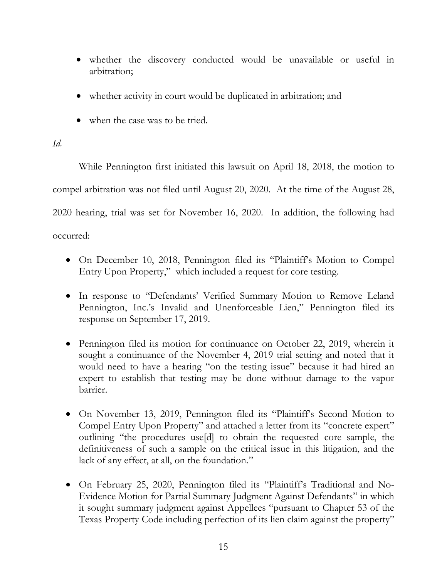- whether the discovery conducted would be unavailable or useful in arbitration;
- whether activity in court would be duplicated in arbitration; and
- when the case was to be tried.

## *Id.*

While Pennington first initiated this lawsuit on April 18, 2018, the motion to compel arbitration was not filed until August 20, 2020. At the time of the August 28, 2020 hearing, trial was set for November 16, 2020. In addition, the following had occurred:

- On December 10, 2018, Pennington filed its "Plaintiff's Motion to Compel Entry Upon Property," which included a request for core testing.
- In response to "Defendants' Verified Summary Motion to Remove Leland Pennington, Inc.'s Invalid and Unenforceable Lien," Pennington filed its response on September 17, 2019.
- Pennington filed its motion for continuance on October 22, 2019, wherein it sought a continuance of the November 4, 2019 trial setting and noted that it would need to have a hearing "on the testing issue" because it had hired an expert to establish that testing may be done without damage to the vapor barrier.
- On November 13, 2019, Pennington filed its "Plaintiff's Second Motion to Compel Entry Upon Property" and attached a letter from its "concrete expert" outlining "the procedures use[d] to obtain the requested core sample, the definitiveness of such a sample on the critical issue in this litigation, and the lack of any effect, at all, on the foundation."
- On February 25, 2020, Pennington filed its "Plaintiff's Traditional and No-Evidence Motion for Partial Summary Judgment Against Defendants" in which it sought summary judgment against Appellees "pursuant to Chapter 53 of the Texas Property Code including perfection of its lien claim against the property"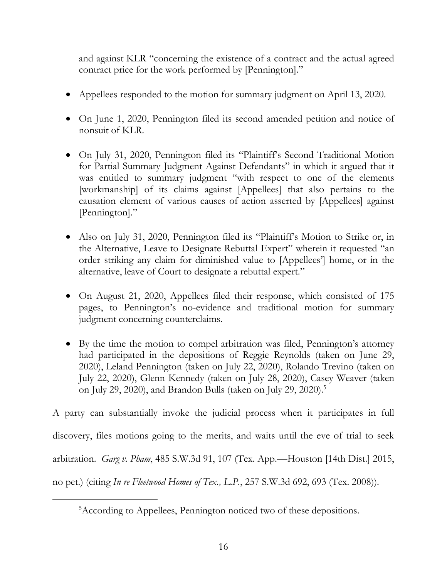and against KLR "concerning the existence of a contract and the actual agreed contract price for the work performed by [Pennington]."

- Appellees responded to the motion for summary judgment on April 13, 2020.
- On June 1, 2020, Pennington filed its second amended petition and notice of nonsuit of KLR.
- On July 31, 2020, Pennington filed its "Plaintiff's Second Traditional Motion for Partial Summary Judgment Against Defendants" in which it argued that it was entitled to summary judgment "with respect to one of the elements [workmanship] of its claims against [Appellees] that also pertains to the causation element of various causes of action asserted by [Appellees] against [Pennington]."
- Also on July 31, 2020, Pennington filed its "Plaintiff's Motion to Strike or, in the Alternative, Leave to Designate Rebuttal Expert" wherein it requested "an order striking any claim for diminished value to [Appellees'] home, or in the alternative, leave of Court to designate a rebuttal expert."
- On August 21, 2020, Appellees filed their response, which consisted of 175 pages, to Pennington's no-evidence and traditional motion for summary judgment concerning counterclaims.
- By the time the motion to compel arbitration was filed, Pennington's attorney had participated in the depositions of Reggie Reynolds (taken on June 29, 2020), Leland Pennington (taken on July 22, 2020), Rolando Trevino (taken on July 22, 2020), Glenn Kennedy (taken on July 28, 2020), Casey Weaver (taken on July 29, 2020), and Brandon Bulls (taken on July 29, 2020). 5

A party can substantially invoke the judicial process when it participates in full discovery, files motions going to the merits, and waits until the eve of trial to seek arbitration. *Garg v. Pham*, 485 S.W.3d 91, 107 (Tex. App.—Houston [14th Dist.] 2015, no pet.) (citing *In re Fleetwood Homes of Tex., L.P.*, 257 S.W.3d 692, 693 (Tex. 2008)).

<sup>5</sup>According to Appellees, Pennington noticed two of these depositions.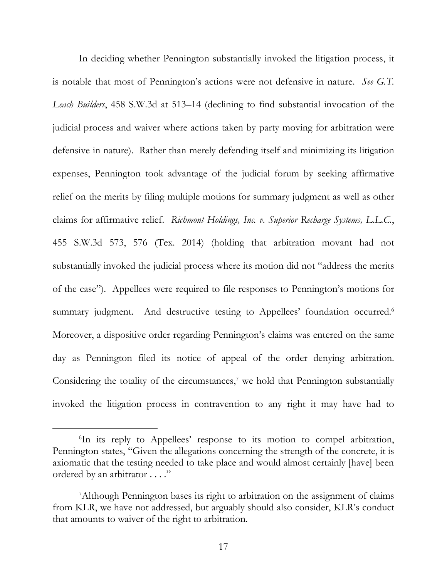In deciding whether Pennington substantially invoked the litigation process, it is notable that most of Pennington's actions were not defensive in nature. *See G.T. Leach Builders*, 458 S.W.3d at 513–14 (declining to find substantial invocation of the judicial process and waiver where actions taken by party moving for arbitration were defensive in nature). Rather than merely defending itself and minimizing its litigation expenses, Pennington took advantage of the judicial forum by seeking affirmative relief on the merits by filing multiple motions for summary judgment as well as other claims for affirmative relief. *Richmont Holdings, Inc. v. Superior Recharge Systems, L.L.C.*, 455 S.W.3d 573, 576 (Tex. 2014) (holding that arbitration movant had not substantially invoked the judicial process where its motion did not "address the merits of the case"). Appellees were required to file responses to Pennington's motions for summary judgment. And destructive testing to Appellees' foundation occurred.<sup>6</sup> Moreover, a dispositive order regarding Pennington's claims was entered on the same day as Pennington filed its notice of appeal of the order denying arbitration. Considering the totality of the circumstances,<sup>7</sup> we hold that Pennington substantially invoked the litigation process in contravention to any right it may have had to

<sup>6</sup> In its reply to Appellees' response to its motion to compel arbitration, Pennington states, "Given the allegations concerning the strength of the concrete, it is axiomatic that the testing needed to take place and would almost certainly [have] been ordered by an arbitrator . . . ."

<sup>7</sup>Although Pennington bases its right to arbitration on the assignment of claims from KLR, we have not addressed, but arguably should also consider, KLR's conduct that amounts to waiver of the right to arbitration.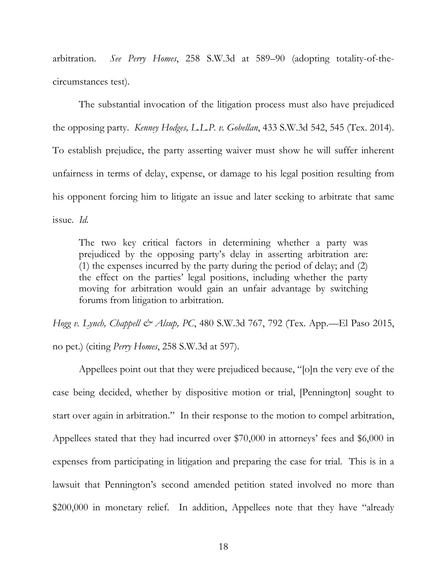arbitration. *See Perry Homes*, 258 S.W.3d at 589–90 (adopting totality-of-thecircumstances test).

The substantial invocation of the litigation process must also have prejudiced the opposing party. *Kenney Hodges, L.L.P. v. Gobellan*, 433 S.W.3d 542, 545 (Tex. 2014). To establish prejudice, the party asserting waiver must show he will suffer inherent unfairness in terms of delay, expense, or damage to his legal position resulting from his opponent forcing him to litigate an issue and later seeking to arbitrate that same issue. *Id.*

The two key critical factors in determining whether a party was prejudiced by the opposing party's delay in asserting arbitration are: (1) the expenses incurred by the party during the period of delay; and (2) the effect on the parties' legal positions, including whether the party moving for arbitration would gain an unfair advantage by switching forums from litigation to arbitration.

*Hogg v. Lynch, Chappell & Alsup, PC*, 480 S.W.3d 767, 792 (Tex. App.—El Paso 2015, no pet.) (citing *Perry Homes*, 258 S.W.3d at 597).

Appellees point out that they were prejudiced because, "[o]n the very eve of the case being decided, whether by dispositive motion or trial, [Pennington] sought to start over again in arbitration." In their response to the motion to compel arbitration, Appellees stated that they had incurred over \$70,000 in attorneys' fees and \$6,000 in expenses from participating in litigation and preparing the case for trial. This is in a lawsuit that Pennington's second amended petition stated involved no more than \$200,000 in monetary relief. In addition, Appellees note that they have "already"